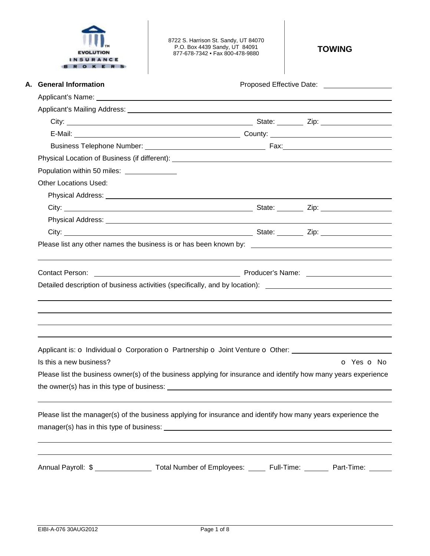

8722 S. Harrison St. Sandy, UT 84070 P.O. Box 4439 Sandy, UT 84091 877-678-7342 • Fax 800-478-9880 **TOWING** 

| A. General Information                                                                                                                                                                                                               | Proposed Effective Date: ____________________ |                          |  |
|--------------------------------------------------------------------------------------------------------------------------------------------------------------------------------------------------------------------------------------|-----------------------------------------------|--------------------------|--|
|                                                                                                                                                                                                                                      |                                               |                          |  |
| Applicant's Mailing Address: <u>Community of the Community of the Community of the Community of the Community of the Community of the Community of the Community of the Community of the Community of the Community of the Commu</u> |                                               |                          |  |
|                                                                                                                                                                                                                                      |                                               |                          |  |
|                                                                                                                                                                                                                                      |                                               |                          |  |
|                                                                                                                                                                                                                                      |                                               |                          |  |
|                                                                                                                                                                                                                                      |                                               |                          |  |
| Population within 50 miles: ______________                                                                                                                                                                                           |                                               |                          |  |
| <b>Other Locations Used:</b>                                                                                                                                                                                                         |                                               |                          |  |
|                                                                                                                                                                                                                                      |                                               |                          |  |
|                                                                                                                                                                                                                                      |                                               |                          |  |
|                                                                                                                                                                                                                                      |                                               |                          |  |
| City: City: City: City: City: City: City: City: City: City: City: City: City: City: City: City: City: City: City: City: City: City: City: City: City: City: City: City: City: City: City: City: City: City: City: City: City:        |                                               |                          |  |
|                                                                                                                                                                                                                                      |                                               |                          |  |
| <b>Contact Person:</b>                                                                                                                                                                                                               |                                               |                          |  |
| Detailed description of business activities (specifically, and by location): ________________________________                                                                                                                        |                                               |                          |  |
|                                                                                                                                                                                                                                      |                                               |                          |  |
| Applicant is: o Individual o Corporation o Partnership o Joint Venture o Other:                                                                                                                                                      |                                               |                          |  |
| Is this a new business?                                                                                                                                                                                                              |                                               | <b>o</b> Yes <b>o</b> No |  |
| Please list the business owner(s) of the business applying for insurance and identify how many years experience                                                                                                                      |                                               |                          |  |
|                                                                                                                                                                                                                                      |                                               |                          |  |
| Please list the manager(s) of the business applying for insurance and identify how many years experience the                                                                                                                         |                                               |                          |  |
|                                                                                                                                                                                                                                      |                                               |                          |  |
| Annual Payroll: \$ ______________________ Total Number of Employees: _______ Full-Time: ________ Part-Time: ______                                                                                                                   |                                               |                          |  |
|                                                                                                                                                                                                                                      |                                               |                          |  |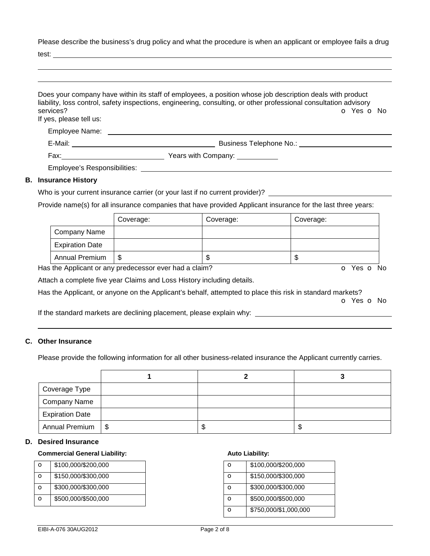Please describe the business's drug policy and what the procedure is when an applicant or employee fails a drug

test:

|                                      | Does your company have within its staff of employees, a position whose job description deals with product<br>liability, loss control, safety inspections, engineering, consulting, or other professional consultation advisory |
|--------------------------------------|--------------------------------------------------------------------------------------------------------------------------------------------------------------------------------------------------------------------------------|
| services?<br>If yes, please tell us: | O Yes O No                                                                                                                                                                                                                     |
|                                      |                                                                                                                                                                                                                                |
|                                      |                                                                                                                                                                                                                                |
|                                      |                                                                                                                                                                                                                                |
|                                      | Employee's Responsibilities: Network and the control of the control of the control of the control of the control of the control of the control of the control of the control of the control of the control of the control of t |
| <b>B.</b> Insurance History          |                                                                                                                                                                                                                                |
|                                      | Who is your current insurance carrier (or your last if no current provider)?                                                                                                                                                   |

Provide name(s) for all insurance companies that have provided Applicant insurance for the last three years:

|                        | Coverage: | Coverage: | Coverage: |
|------------------------|-----------|-----------|-----------|
| Company Name           |           |           |           |
| <b>Expiration Date</b> |           |           |           |
| Annual Premium         | \$        | ۰D        | J         |

Has the Applicant or any predecessor ever had a claim? The Contract of Monocomusic Contract of No. The Contract O

Attach a complete five year Claims and Loss History including details.

Has the Applicant, or anyone on the Applicant's behalf, attempted to place this risk in standard markets?

o Yes o No

If the standard markets are declining placement, please explain why: \_\_\_

# **C. Other Insurance**

Please provide the following information for all other business-related insurance the Applicant currently carries.

| Coverage Type          |  |   |
|------------------------|--|---|
| <b>Company Name</b>    |  |   |
| <b>Expiration Date</b> |  |   |
| Annual Premium   \$    |  | Œ |

# **D. Desired Insurance**

## **Commercial General Liability:**

| O | \$100,000/\$200,000 |
|---|---------------------|
| O | \$150,000/\$300,000 |
| O | \$300,000/\$300,000 |
| O | \$500,000/\$500,000 |

# **Auto Liability:**

| റ | \$100,000/\$200,000   |
|---|-----------------------|
| Ω | \$150,000/\$300,000   |
| റ | \$300,000/\$300,000   |
| റ | \$500,000/\$500,000   |
| റ | \$750,000/\$1,000,000 |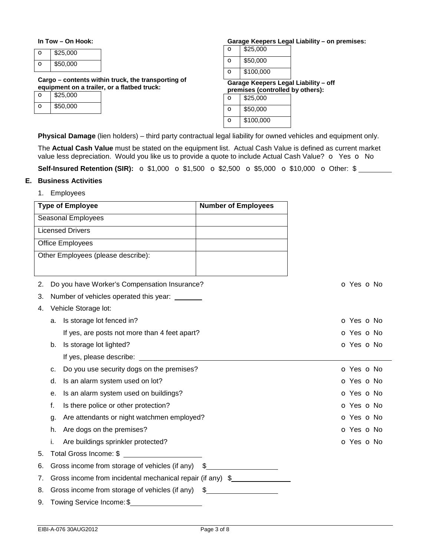### **In Tow – On Hook:**

| \$25,000 |
|----------|
| \$50,000 |

**Cargo – contents within truck, the transporting of equipment on a trailer, or a flatbed truck:** 

| \$25,000 |
|----------|
| \$50,000 |

#### **Garage Keepers Legal Liability – on premises:**

| \$100,000 |
|-----------|
| \$50,000  |
| \$25,000  |

**Garage Keepers Legal Liability – off premises (controlled by others):** 

| \$25,000  |
|-----------|
| \$50,000  |
| \$100,000 |

**Physical Damage** (lien holders) – third party contractual legal liability for owned vehicles and equipment only.

The **Actual Cash Value** must be stated on the equipment list. Actual Cash Value is defined as current market value less depreciation. Would you like us to provide a quote to include Actual Cash Value? o Yes o No

**Self-Insured Retention (SIR):**  $\sigma$  \$1,000  $\sigma$  \$1,500  $\sigma$  \$2,500  $\sigma$  \$5,000  $\sigma$  \$10,000  $\sigma$  Other: \$

# **E. Business Activities**

1. Employees

|    |                                                            | <b>Type of Employee</b>                           | <b>Number of Employees</b> |            |  |
|----|------------------------------------------------------------|---------------------------------------------------|----------------------------|------------|--|
|    |                                                            | Seasonal Employees                                |                            |            |  |
|    |                                                            | <b>Licensed Drivers</b>                           |                            |            |  |
|    |                                                            | Office Employees                                  |                            |            |  |
|    |                                                            | Other Employees (please describe):                |                            |            |  |
|    |                                                            |                                                   |                            |            |  |
| 2. |                                                            | Do you have Worker's Compensation Insurance?      |                            | O Yes O No |  |
| 3. |                                                            | Number of vehicles operated this year: _______    |                            |            |  |
| 4. |                                                            | Vehicle Storage lot:                              |                            |            |  |
|    |                                                            | a. Is storage lot fenced in?                      |                            | O Yes O No |  |
|    |                                                            | If yes, are posts not more than 4 feet apart?     |                            | O Yes O No |  |
|    | b.                                                         | Is storage lot lighted?                           |                            | O Yes O No |  |
|    |                                                            | If yes, please describe: If yes, please describe: |                            |            |  |
|    | c.                                                         | Do you use security dogs on the premises?         |                            | O Yes O No |  |
|    | d.                                                         | Is an alarm system used on lot?                   |                            | O Yes O No |  |
|    | е.                                                         | Is an alarm system used on buildings?             |                            | O Yes O No |  |
|    | f.                                                         | Is there police or other protection?              |                            | o Yes o No |  |
|    | q.                                                         | Are attendants or night watchmen employed?        |                            | o Yes o No |  |
|    | h.                                                         | Are dogs on the premises?                         |                            | o Yes o No |  |
|    | i.                                                         | Are buildings sprinkler protected?                |                            | o Yes o No |  |
| 5. |                                                            | Total Gross Income: \$                            |                            |            |  |
| 6. |                                                            | Gross income from storage of vehicles (if any)    | \$                         |            |  |
| 7. | Gross income from incidental mechanical repair (if any) \$ |                                                   |                            |            |  |
| 8. |                                                            | Gross income from storage of vehicles (if any) \$ |                            |            |  |
| 9. |                                                            | Towing Service Income: \$                         |                            |            |  |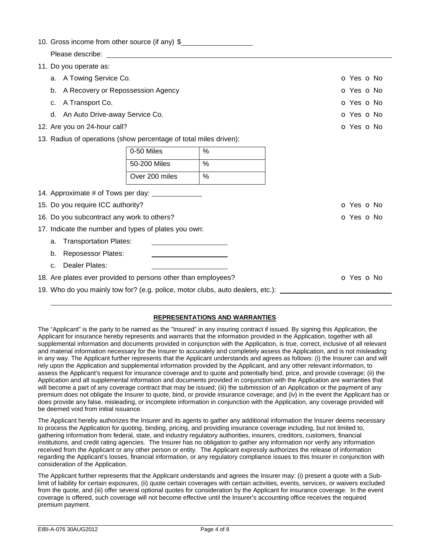|  |  | 10. Gross income from other source (if any) \$ |  |  |  |  |  |
|--|--|------------------------------------------------|--|--|--|--|--|
|--|--|------------------------------------------------|--|--|--|--|--|

- Please describe:
- 11. Do you operate as: a. A Towing Service Co. **o Yes o No. 3 A Towing Service Co. o Yes o No. o Yes o No.** b. A Recovery or Repossession Agency of the state of the state of the state of the SNO Yes of No. c. A Transport Co. **o Yes o No. 1999** Contract the Contract of the Contract of the Contract of the Contract of the Contract of the Contract of the Contract of the Contract of the Contract of the Contract of the Contract of d. An Auto Drive-away Service Co. **o Community Community Community Community Community Community Community Community** Community Community Community Community Community Community Community Community Community Community Comm 12. Are you on 24-hour call? Contract the Contract of the Contract of Contract of Contract of Contract of Contract of Contract of Contract of Contract of Contract of Contract of Contract of Contract of Contract of Contract
- 13. Radius of operations (show percentage of total miles driven):

| 0-50 Miles     | $\%$ |
|----------------|------|
| 50-200 Miles   | %    |
| Over 200 miles | %    |

| 14. Approximate # of Tows per day:                                             |            |
|--------------------------------------------------------------------------------|------------|
| 15. Do you require ICC authority?                                              | o Yes o No |
| 16. Do you subcontract any work to others?                                     | o Yes o No |
| 17. Indicate the number and types of plates you own:                           |            |
| a. Transportation Plates:                                                      |            |
| b. Reposessor Plates:                                                          |            |
| Dealer Plates:<br>C.                                                           |            |
| 18. Are plates ever provided to persons other than employees?                  | o Yes o No |
| 19. Who do you mainly tow for? (e.g. police, motor clubs, auto dealers, etc.): |            |

# **REPRESENTATIONS AND WARRANTIES**

The "Applicant" is the party to be named as the "Insured" in any insuring contract if issued. By signing this Application, the Applicant for insurance hereby represents and warrants that the information provided in the Application, together with all supplemental information and documents provided in conjunction with the Application, is true, correct, inclusive of all relevant and material information necessary for the Insurer to accurately and completely assess the Application, and is not misleading in any way. The Applicant further represents that the Applicant understands and agrees as follows: (i) the Insurer can and will rely upon the Application and supplemental information provided by the Applicant, and any other relevant information, to assess the Applicant's request for insurance coverage and to quote and potentially bind, price, and provide coverage; (ii) the Application and all supplemental information and documents provided in conjunction with the Application are warranties that will become a part of any coverage contract that may be issued; (iii) the submission of an Application or the payment of any premium does not obligate the Insurer to quote, bind, or provide insurance coverage; and (iv) in the event the Applicant has or does provide any false, misleading, or incomplete information in conjunction with the Application, any coverage provided will be deemed void from initial issuance.

The Applicant hereby authorizes the Insurer and its agents to gather any additional information the Insurer deems necessary to process the Application for quoting, binding, pricing, and providing insurance coverage including, but not limited to, gathering information from federal, state, and industry regulatory authorities, insurers, creditors, customers, financial institutions, and credit rating agencies. The Insurer has no obligation to gather any information nor verify any information received from the Applicant or any other person or entity. The Applicant expressly authorizes the release of information regarding the Applicant's losses, financial information, or any regulatory compliance issues to this Insurer in conjunction with consideration of the Application.

The Applicant further represents that the Applicant understands and agrees the Insurer may: (i) present a quote with a Sublimit of liability for certain exposures, (ii) quote certain coverages with certain activities, events, services, or waivers excluded from the quote, and (iii) offer several optional quotes for consideration by the Applicant for insurance coverage. In the event coverage is offered, such coverage will not become effective until the Insurer's accounting office receives the required premium payment.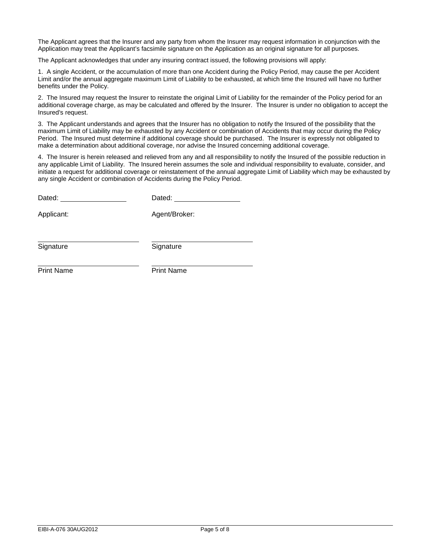The Applicant agrees that the Insurer and any party from whom the Insurer may request information in conjunction with the Application may treat the Applicant's facsimile signature on the Application as an original signature for all purposes.

The Applicant acknowledges that under any insuring contract issued, the following provisions will apply:

1. A single Accident, or the accumulation of more than one Accident during the Policy Period, may cause the per Accident Limit and/or the annual aggregate maximum Limit of Liability to be exhausted, at which time the Insured will have no further benefits under the Policy.

2. The Insured may request the Insurer to reinstate the original Limit of Liability for the remainder of the Policy period for an additional coverage charge, as may be calculated and offered by the Insurer. The Insurer is under no obligation to accept the Insured's request.

3. The Applicant understands and agrees that the Insurer has no obligation to notify the Insured of the possibility that the maximum Limit of Liability may be exhausted by any Accident or combination of Accidents that may occur during the Policy Period. The Insured must determine if additional coverage should be purchased. The Insurer is expressly not obligated to make a determination about additional coverage, nor advise the Insured concerning additional coverage.

4. The Insurer is herein released and relieved from any and all responsibility to notify the Insured of the possible reduction in any applicable Limit of Liability. The Insured herein assumes the sole and individual responsibility to evaluate, consider, and initiate a request for additional coverage or reinstatement of the annual aggregate Limit of Liability which may be exhausted by any single Accident or combination of Accidents during the Policy Period.

| Dated: | Dated: |
|--------|--------|
|        |        |

Applicant: Agent/Broker:

Signature Signature Signature

Print Name **Print Name**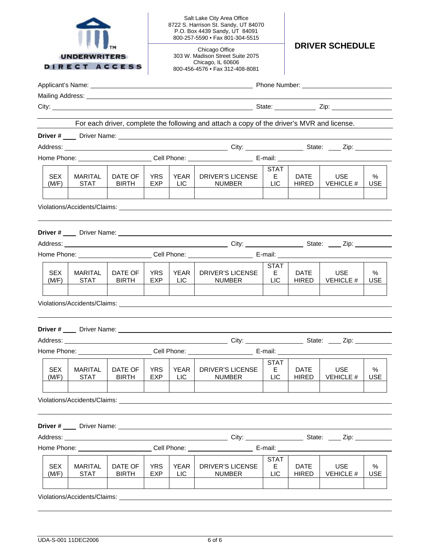| <b>UNDERWRITERS</b><br><b>DIRECT ACCESS</b>                                                                                                                                                                                    |                                                                                                      |                         |                    | Salt Lake City Area Office<br>8722 S. Harrison St. Sandy, UT 84070<br>P.O. Box 4439 Sandy, UT 84091<br>800-257-5590 · Fax 801-304-5515 |                                                                                                                                                                                                                                     |                                 |                             |                                |                 |  |
|--------------------------------------------------------------------------------------------------------------------------------------------------------------------------------------------------------------------------------|------------------------------------------------------------------------------------------------------|-------------------------|--------------------|----------------------------------------------------------------------------------------------------------------------------------------|-------------------------------------------------------------------------------------------------------------------------------------------------------------------------------------------------------------------------------------|---------------------------------|-----------------------------|--------------------------------|-----------------|--|
|                                                                                                                                                                                                                                |                                                                                                      |                         |                    | Chicago Office<br>303 W. Madison Street Suite 2075<br>Chicago, IL 60606<br>800-456-4576 • Fax 312-408-8081                             |                                                                                                                                                                                                                                     |                                 | <b>DRIVER SCHEDULE</b>      |                                |                 |  |
|                                                                                                                                                                                                                                |                                                                                                      |                         |                    |                                                                                                                                        |                                                                                                                                                                                                                                     |                                 |                             |                                |                 |  |
|                                                                                                                                                                                                                                |                                                                                                      |                         |                    |                                                                                                                                        | Mailing Address: National Address: National Address: National Address: National Address: National Address: National Address: National Address: National Address: National Address: National Address: National Address: Nationa      |                                 |                             |                                |                 |  |
|                                                                                                                                                                                                                                |                                                                                                      |                         |                    |                                                                                                                                        |                                                                                                                                                                                                                                     |                                 |                             |                                |                 |  |
|                                                                                                                                                                                                                                |                                                                                                      |                         |                    |                                                                                                                                        | For each driver, complete the following and attach a copy of the driver's MVR and license.                                                                                                                                          |                                 |                             |                                |                 |  |
|                                                                                                                                                                                                                                |                                                                                                      |                         |                    |                                                                                                                                        |                                                                                                                                                                                                                                     |                                 |                             |                                |                 |  |
|                                                                                                                                                                                                                                |                                                                                                      |                         |                    |                                                                                                                                        |                                                                                                                                                                                                                                     |                                 |                             |                                |                 |  |
|                                                                                                                                                                                                                                |                                                                                                      |                         |                    |                                                                                                                                        |                                                                                                                                                                                                                                     |                                 |                             |                                |                 |  |
| SEX.<br>(M/F)                                                                                                                                                                                                                  | <b>MARITAL</b><br><b>STAT</b>                                                                        | DATE OF<br><b>BIRTH</b> | YRS.<br><b>EXP</b> | YEAR<br>LIC.                                                                                                                           | DRIVER'S LICENSE<br><b>NUMBER</b>                                                                                                                                                                                                   | <b>STAT</b><br>E.<br><b>LIC</b> | DATE<br><b>HIRED</b>        | <b>USE</b><br>VEHICLE #        | %<br><b>USE</b> |  |
|                                                                                                                                                                                                                                |                                                                                                      |                         |                    |                                                                                                                                        |                                                                                                                                                                                                                                     |                                 |                             |                                |                 |  |
|                                                                                                                                                                                                                                |                                                                                                      |                         |                    |                                                                                                                                        |                                                                                                                                                                                                                                     |                                 |                             |                                |                 |  |
|                                                                                                                                                                                                                                |                                                                                                      |                         |                    |                                                                                                                                        | Home Phone: _________________________Cell Phone: ___________________________E-mail: __________________________                                                                                                                      |                                 |                             |                                |                 |  |
| <b>SEX</b><br>(M/F)                                                                                                                                                                                                            | <b>MARITAL</b><br><b>STAT</b>                                                                        | DATE OF<br><b>BIRTH</b> | <b>YRS</b><br>EXP  | YEAR<br>LIC.                                                                                                                           | <b>DRIVER'S LICENSE</b><br><b>NUMBER</b>                                                                                                                                                                                            | <b>STAT</b><br>E.<br><b>LIC</b> | <b>DATE</b><br><b>HIRED</b> | <b>USE</b><br><b>VEHICLE #</b> | %<br><b>USE</b> |  |
| Violations/Accidents/Claims: Williams and Security and Security and Security and Security and Security and Security and Security and Security and Security and Security and Security and Security and Security and Security an |                                                                                                      |                         |                    |                                                                                                                                        |                                                                                                                                                                                                                                     |                                 |                             |                                |                 |  |
|                                                                                                                                                                                                                                |                                                                                                      |                         |                    |                                                                                                                                        |                                                                                                                                                                                                                                     |                                 |                             |                                |                 |  |
|                                                                                                                                                                                                                                |                                                                                                      |                         |                    |                                                                                                                                        | Address: <u>City: City:</u> City: City: City: City: City: City: City: City: City: City: City: City: City: City: City: City: City: City: City: City: City: City: City: City: City: City: City: City: City: City: City: City: City: C |                                 |                             |                                |                 |  |
|                                                                                                                                                                                                                                |                                                                                                      |                         |                    |                                                                                                                                        | Home Phone: ______________________________Cell Phone: ___________________________ E-mail: __________                                                                                                                                |                                 |                             |                                |                 |  |
| <b>SEX</b><br>(M/F)                                                                                                                                                                                                            | <b>MARITAL</b><br><b>STAT</b>                                                                        | DATE OF<br><b>BIRTH</b> | <b>YRS</b><br>EXP  | <b>YEAR</b><br>LIC                                                                                                                     | <b>DRIVER'S LICENSE</b><br><b>NUMBER</b>                                                                                                                                                                                            | <b>STAT</b><br>E.<br><b>LIC</b> | <b>DATE</b><br><b>HIRED</b> | <b>USE</b><br><b>VEHICLE #</b> | %<br><b>USE</b> |  |
| Violations/Accidents/Claims: University of the Contract of the Contract of the Contract of the Contract of the                                                                                                                 |                                                                                                      |                         |                    |                                                                                                                                        |                                                                                                                                                                                                                                     |                                 |                             |                                |                 |  |
|                                                                                                                                                                                                                                |                                                                                                      |                         |                    |                                                                                                                                        |                                                                                                                                                                                                                                     |                                 |                             |                                |                 |  |
|                                                                                                                                                                                                                                |                                                                                                      |                         |                    |                                                                                                                                        |                                                                                                                                                                                                                                     |                                 |                             |                                |                 |  |
|                                                                                                                                                                                                                                | Home Phone: _________________________Cell Phone: ___________________________E-mail: ________________ |                         |                    |                                                                                                                                        |                                                                                                                                                                                                                                     |                                 |                             |                                |                 |  |
| <b>SEX</b><br>(M/F)                                                                                                                                                                                                            | <b>MARITAL</b><br><b>STAT</b>                                                                        | DATE OF<br><b>BIRTH</b> | <b>YRS</b><br>EXP  | <b>YEAR</b><br>LIC                                                                                                                     | <b>DRIVER'S LICENSE</b><br><b>NUMBER</b>                                                                                                                                                                                            | <b>STAT</b><br>E.<br><b>LIC</b> | <b>DATE</b><br><b>HIRED</b> | <b>USE</b><br><b>VEHICLE #</b> | %<br><b>USE</b> |  |
|                                                                                                                                                                                                                                |                                                                                                      |                         |                    |                                                                                                                                        | Violations/Accidents/Claims: Note and the contract of the contract of the contract of the contract of the contract of the contract of the contract of the contract of the contract of the contract of the contract of the cont      |                                 |                             |                                |                 |  |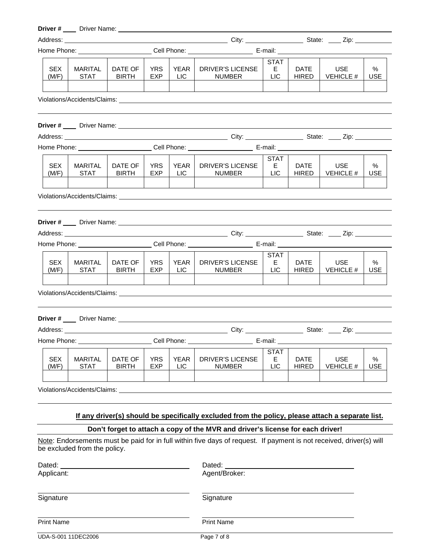# **Driver #** Driver Name:

|                                                                                                                                                                                                                                       |                               |                         |                   | Home Phone: ________________________Cell Phone: __________________________E-mail: ____________________________ |                                                                                                                 |                                 |                             |                                |                    |
|---------------------------------------------------------------------------------------------------------------------------------------------------------------------------------------------------------------------------------------|-------------------------------|-------------------------|-------------------|----------------------------------------------------------------------------------------------------------------|-----------------------------------------------------------------------------------------------------------------|---------------------------------|-----------------------------|--------------------------------|--------------------|
| <b>SEX</b><br>(M/F)                                                                                                                                                                                                                   | <b>MARITAL</b><br><b>STAT</b> | DATE OF<br><b>BIRTH</b> | <b>YRS</b><br>EXP | <b>YEAR</b><br>LIC.                                                                                            | <b>DRIVER'S LICENSE</b><br><b>NUMBER</b>                                                                        | STAT<br>E.<br><b>LIC</b>        | <b>DATE</b><br><b>HIRED</b> | <b>USE</b><br><b>VEHICLE #</b> | %<br><b>USE</b>    |
|                                                                                                                                                                                                                                       |                               |                         |                   |                                                                                                                |                                                                                                                 |                                 |                             |                                |                    |
|                                                                                                                                                                                                                                       |                               |                         |                   |                                                                                                                |                                                                                                                 |                                 |                             |                                |                    |
|                                                                                                                                                                                                                                       |                               |                         |                   |                                                                                                                |                                                                                                                 |                                 |                             |                                |                    |
|                                                                                                                                                                                                                                       |                               |                         |                   |                                                                                                                |                                                                                                                 |                                 |                             |                                |                    |
| <b>SEX</b><br>(M/F)                                                                                                                                                                                                                   | <b>MARITAL</b><br><b>STAT</b> | DATE OF<br><b>BIRTH</b> | <b>YRS</b><br>EXP | YEAR<br>LIC                                                                                                    | DRIVER'S LICENSE<br>NUMBER                                                                                      | <b>STAT</b><br>E.<br><b>LIC</b> | <b>DATE</b><br><b>HIRED</b> | <b>USE</b><br><b>VEHICLE #</b> | %<br><b>USE</b>    |
|                                                                                                                                                                                                                                       |                               |                         |                   |                                                                                                                | Violations/Accidents/Claims: Williams and Science of the Control of the Control of the Control of the Control o |                                 |                             |                                |                    |
|                                                                                                                                                                                                                                       |                               |                         |                   |                                                                                                                |                                                                                                                 |                                 |                             |                                |                    |
|                                                                                                                                                                                                                                       |                               |                         |                   |                                                                                                                |                                                                                                                 |                                 |                             |                                |                    |
|                                                                                                                                                                                                                                       |                               |                         |                   |                                                                                                                | Home Phone: ________________________Cell Phone: __________________________E-mail: ____________________________  |                                 |                             |                                |                    |
| <b>SEX</b><br>(M/F)                                                                                                                                                                                                                   | <b>MARITAL</b><br><b>STAT</b> | DATE OF<br><b>BIRTH</b> | <b>YRS</b><br>EXP | <b>YEAR</b><br>LIC.                                                                                            | DRIVER'S LICENSE<br><b>NUMBER</b>                                                                               | STAT<br>E.<br><b>LIC</b>        | <b>DATE</b><br><b>HIRED</b> | <b>USE</b><br><b>VEHICLE #</b> | %<br><b>USE</b>    |
|                                                                                                                                                                                                                                       |                               |                         |                   |                                                                                                                |                                                                                                                 |                                 |                             |                                |                    |
|                                                                                                                                                                                                                                       |                               |                         |                   |                                                                                                                |                                                                                                                 |                                 |                             |                                |                    |
|                                                                                                                                                                                                                                       |                               |                         |                   |                                                                                                                |                                                                                                                 |                                 |                             |                                |                    |
|                                                                                                                                                                                                                                       |                               |                         |                   |                                                                                                                | Home Phone: _________________________Cell Phone: ___________________________E-mail: __________________________  |                                 |                             |                                |                    |
| <b>SEX</b><br>(M/F)                                                                                                                                                                                                                   | <b>MARITAL</b><br><b>STAT</b> | DATE OF<br><b>BIRTH</b> | <b>YRS</b><br>EXP | <b>YEAR</b><br><b>LIC</b>                                                                                      | <b>DRIVER'S LICENSE</b><br><b>NUMBER</b>                                                                        | <b>STAT</b><br>Е<br>LIC         | <b>DATE</b><br><b>HIRED</b> | <b>USE</b><br><b>VEHICLE #</b> | $\%$<br><b>USE</b> |
| Violations/Accidents/Claims:                                                                                                                                                                                                          |                               |                         |                   |                                                                                                                |                                                                                                                 |                                 |                             |                                |                    |
| If any driver(s) should be specifically excluded from the policy, please attach a separate list.                                                                                                                                      |                               |                         |                   |                                                                                                                |                                                                                                                 |                                 |                             |                                |                    |
|                                                                                                                                                                                                                                       |                               |                         |                   |                                                                                                                |                                                                                                                 |                                 |                             |                                |                    |
| Don't forget to attach a copy of the MVR and driver's license for each driver!<br>Note: Endorsements must be paid for in full within five days of request. If payment is not received, driver(s) will<br>be excluded from the policy. |                               |                         |                   |                                                                                                                |                                                                                                                 |                                 |                             |                                |                    |
| Dated:<br>Applicant:                                                                                                                                                                                                                  |                               |                         |                   |                                                                                                                | Dated:<br>Agent/Broker:                                                                                         |                                 |                             |                                |                    |

Signature

Signature